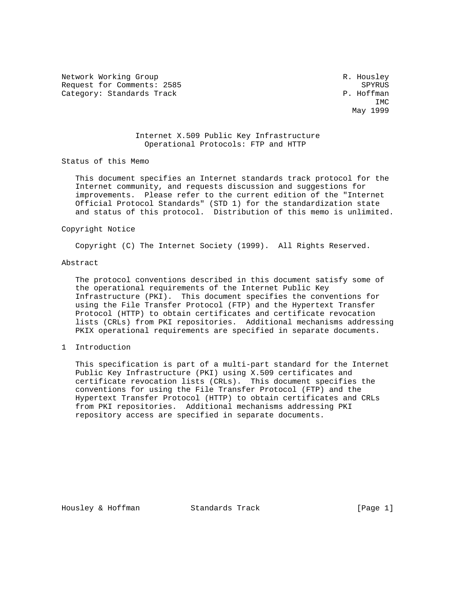Network Working Group and the set of the set of the set of the R. Housley Request for Comments: 2585 SPYRUS<br>Category: Standards Track Service Services of the Service Service Services of the Service Service Services of Category: Standards Track

**IMC** IMC May 1999

## Internet X.509 Public Key Infrastructure Operational Protocols: FTP and HTTP

Status of this Memo

 This document specifies an Internet standards track protocol for the Internet community, and requests discussion and suggestions for improvements. Please refer to the current edition of the "Internet Official Protocol Standards" (STD 1) for the standardization state and status of this protocol. Distribution of this memo is unlimited.

#### Copyright Notice

Copyright (C) The Internet Society (1999). All Rights Reserved.

### Abstract

 The protocol conventions described in this document satisfy some of the operational requirements of the Internet Public Key Infrastructure (PKI). This document specifies the conventions for using the File Transfer Protocol (FTP) and the Hypertext Transfer Protocol (HTTP) to obtain certificates and certificate revocation lists (CRLs) from PKI repositories. Additional mechanisms addressing PKIX operational requirements are specified in separate documents.

1 Introduction

 This specification is part of a multi-part standard for the Internet Public Key Infrastructure (PKI) using X.509 certificates and certificate revocation lists (CRLs). This document specifies the conventions for using the File Transfer Protocol (FTP) and the Hypertext Transfer Protocol (HTTP) to obtain certificates and CRLs from PKI repositories. Additional mechanisms addressing PKI repository access are specified in separate documents.

Housley & Hoffman Standards Track [Page 1]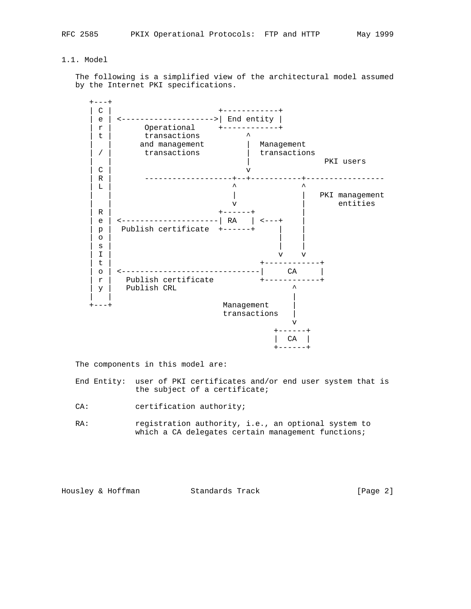# 1.1. Model

 The following is a simplified view of the architectural model assumed by the Internet PKI specifications.



The components in this model are:

 End Entity: user of PKI certificates and/or end user system that is the subject of a certificate;

CA: certification authority;

RA: registration authority, i.e., an optional system to which a CA delegates certain management functions;

Housley & Hoffman Standards Track [Page 2]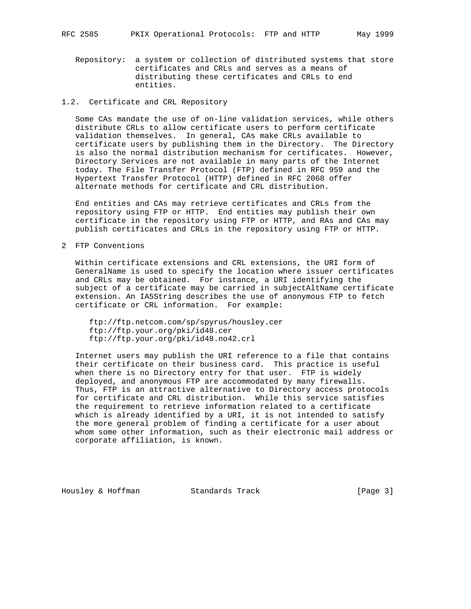Repository: a system or collection of distributed systems that store certificates and CRLs and serves as a means of distributing these certificates and CRLs to end entities.

### 1.2. Certificate and CRL Repository

 Some CAs mandate the use of on-line validation services, while others distribute CRLs to allow certificate users to perform certificate validation themselves. In general, CAs make CRLs available to certificate users by publishing them in the Directory. The Directory is also the normal distribution mechanism for certificates. However, Directory Services are not available in many parts of the Internet today. The File Transfer Protocol (FTP) defined in RFC 959 and the Hypertext Transfer Protocol (HTTP) defined in RFC 2068 offer alternate methods for certificate and CRL distribution.

 End entities and CAs may retrieve certificates and CRLs from the repository using FTP or HTTP. End entities may publish their own certificate in the repository using FTP or HTTP, and RAs and CAs may publish certificates and CRLs in the repository using FTP or HTTP.

2 FTP Conventions

 Within certificate extensions and CRL extensions, the URI form of GeneralName is used to specify the location where issuer certificates and CRLs may be obtained. For instance, a URI identifying the subject of a certificate may be carried in subjectAltName certificate extension. An IA5String describes the use of anonymous FTP to fetch certificate or CRL information. For example:

 ftp://ftp.netcom.com/sp/spyrus/housley.cer ftp://ftp.your.org/pki/id48.cer ftp://ftp.your.org/pki/id48.no42.crl

 Internet users may publish the URI reference to a file that contains their certificate on their business card. This practice is useful when there is no Directory entry for that user. FTP is widely deployed, and anonymous FTP are accommodated by many firewalls. Thus, FTP is an attractive alternative to Directory access protocols for certificate and CRL distribution. While this service satisfies the requirement to retrieve information related to a certificate which is already identified by a URI, it is not intended to satisfy the more general problem of finding a certificate for a user about whom some other information, such as their electronic mail address or corporate affiliation, is known.

Housley & Hoffman Standards Track [Page 3]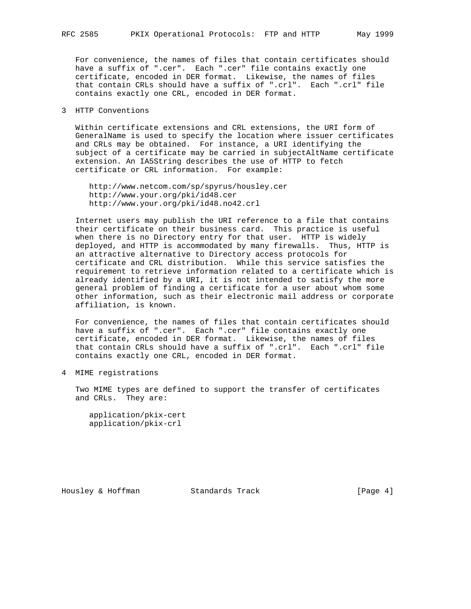For convenience, the names of files that contain certificates should have a suffix of ".cer". Each ".cer" file contains exactly one certificate, encoded in DER format. Likewise, the names of files that contain CRLs should have a suffix of ".crl". Each ".crl" file contains exactly one CRL, encoded in DER format.

### 3 HTTP Conventions

 Within certificate extensions and CRL extensions, the URI form of GeneralName is used to specify the location where issuer certificates and CRLs may be obtained. For instance, a URI identifying the subject of a certificate may be carried in subjectAltName certificate extension. An IA5String describes the use of HTTP to fetch certificate or CRL information. For example:

 http://www.netcom.com/sp/spyrus/housley.cer http://www.your.org/pki/id48.cer http://www.your.org/pki/id48.no42.crl

 Internet users may publish the URI reference to a file that contains their certificate on their business card. This practice is useful when there is no Directory entry for that user. HTTP is widely deployed, and HTTP is accommodated by many firewalls. Thus, HTTP is an attractive alternative to Directory access protocols for certificate and CRL distribution. While this service satisfies the requirement to retrieve information related to a certificate which is already identified by a URI, it is not intended to satisfy the more general problem of finding a certificate for a user about whom some other information, such as their electronic mail address or corporate affiliation, is known.

 For convenience, the names of files that contain certificates should have a suffix of ".cer". Each ".cer" file contains exactly one certificate, encoded in DER format. Likewise, the names of files that contain CRLs should have a suffix of ".crl". Each ".crl" file contains exactly one CRL, encoded in DER format.

4 MIME registrations

 Two MIME types are defined to support the transfer of certificates and CRLs. They are:

 application/pkix-cert application/pkix-crl

Housley & Hoffman Standards Track [Page 4]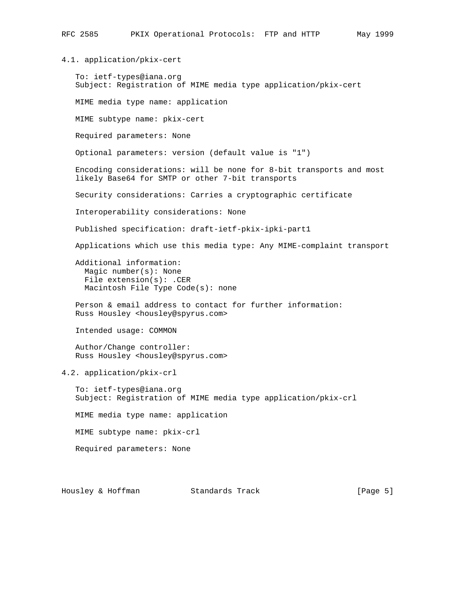# 4.1. application/pkix-cert

 To: ietf-types@iana.org Subject: Registration of MIME media type application/pkix-cert

MIME media type name: application

MIME subtype name: pkix-cert

Required parameters: None

Optional parameters: version (default value is "1")

 Encoding considerations: will be none for 8-bit transports and most likely Base64 for SMTP or other 7-bit transports

Security considerations: Carries a cryptographic certificate

Interoperability considerations: None

Published specification: draft-ietf-pkix-ipki-part1

Applications which use this media type: Any MIME-complaint transport

 Additional information: Magic number(s): None File extension(s): .CER Macintosh File Type Code(s): none

 Person & email address to contact for further information: Russ Housley <housley@spyrus.com>

Intended usage: COMMON

 Author/Change controller: Russ Housley <housley@spyrus.com>

4.2. application/pkix-crl

 To: ietf-types@iana.org Subject: Registration of MIME media type application/pkix-crl

MIME media type name: application

MIME subtype name: pkix-crl

Required parameters: None

Housley & Hoffman Standards Track [Page 5]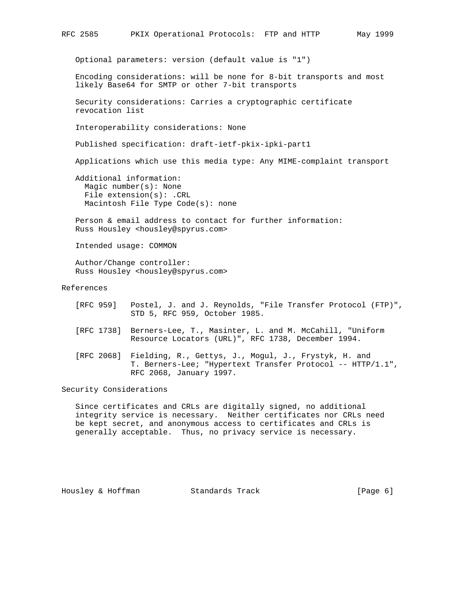```
RFC 2585 PKIX Operational Protocols: FTP and HTTP May 1999
 Optional parameters: version (default value is "1")
 Encoding considerations: will be none for 8-bit transports and most
 likely Base64 for SMTP or other 7-bit transports
 Security considerations: Carries a cryptographic certificate
 revocation list
 Interoperability considerations: None
 Published specification: draft-ietf-pkix-ipki-part1
Applications which use this media type: Any MIME-complaint transport
 Additional information:
```
 Magic number(s): None File extension(s): .CRL Macintosh File Type Code(s): none

 Person & email address to contact for further information: Russ Housley <housley@spyrus.com>

Intended usage: COMMON

 Author/Change controller: Russ Housley <housley@spyrus.com>

References

- [RFC 959] Postel, J. and J. Reynolds, "File Transfer Protocol (FTP)", STD 5, RFC 959, October 1985.
- [RFC 1738] Berners-Lee, T., Masinter, L. and M. McCahill, "Uniform Resource Locators (URL)", RFC 1738, December 1994.
- [RFC 2068] Fielding, R., Gettys, J., Mogul, J., Frystyk, H. and T. Berners-Lee; "Hypertext Transfer Protocol -- HTTP/1.1", RFC 2068, January 1997.

Security Considerations

 Since certificates and CRLs are digitally signed, no additional integrity service is necessary. Neither certificates nor CRLs need be kept secret, and anonymous access to certificates and CRLs is generally acceptable. Thus, no privacy service is necessary.

Housley & Hoffman Standards Track [Page 6]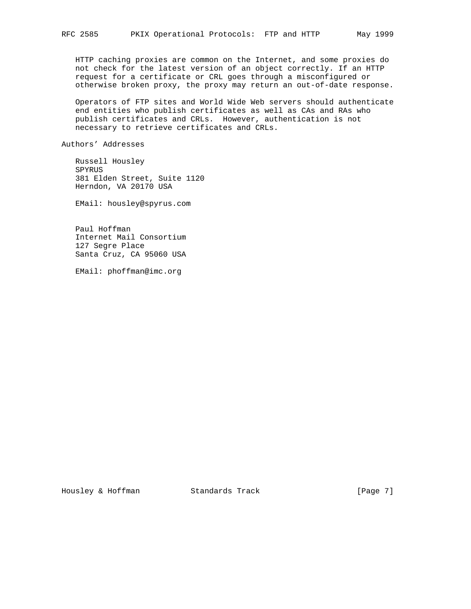HTTP caching proxies are common on the Internet, and some proxies do not check for the latest version of an object correctly. If an HTTP request for a certificate or CRL goes through a misconfigured or otherwise broken proxy, the proxy may return an out-of-date response.

 Operators of FTP sites and World Wide Web servers should authenticate end entities who publish certificates as well as CAs and RAs who publish certificates and CRLs. However, authentication is not necessary to retrieve certificates and CRLs.

Authors' Addresses

 Russell Housley SPYRUS 381 Elden Street, Suite 1120 Herndon, VA 20170 USA

EMail: housley@spyrus.com

 Paul Hoffman Internet Mail Consortium 127 Segre Place Santa Cruz, CA 95060 USA

EMail: phoffman@imc.org